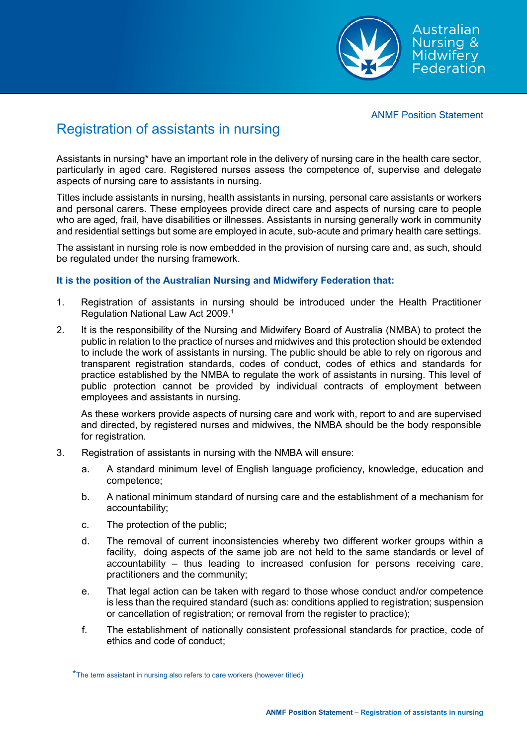Australian Nursing & Midwiferv Federation

## ANMF Position Statement

## Registration of assistants in nursing

Assistants in nursing\* have an important role in the delivery of nursing care in the health care sector, particularly in aged care. Registered nurses assess the competence of, supervise and delegate aspects of nursing care to assistants in nursing.

Titles include assistants in nursing, health assistants in nursing, personal care assistants or workers and personal carers. These employees provide direct care and aspects of nursing care to people who are aged, frail, have disabilities or illnesses. Assistants in nursing generally work in community and residential settings but some are employed in acute, sub-acute and primary health care settings.

The assistant in nursing role is now embedded in the provision of nursing care and, as such, should be regulated under the nursing framework.

## **It is the position of the Australian Nursing and Midwifery Federation that:**

- 1. Registration of assistants in nursing should be introduced under the Health Practitioner Regulation National Law Act 2009.1
- 2. It is the responsibility of the Nursing and Midwifery Board of Australia (NMBA) to protect the public in relation to the practice of nurses and midwives and this protection should be extended to include the work of assistants in nursing. The public should be able to rely on rigorous and transparent registration standards, codes of conduct, codes of ethics and standards for practice established by the NMBA to regulate the work of assistants in nursing. This level of public protection cannot be provided by individual contracts of employment between employees and assistants in nursing.

As these workers provide aspects of nursing care and work with, report to and are supervised and directed, by registered nurses and midwives, the NMBA should be the body responsible for registration.

- 3. Registration of assistants in nursing with the NMBA will ensure:
	- a. A standard minimum level of English language proficiency, knowledge, education and competence;
	- b. A national minimum standard of nursing care and the establishment of a mechanism for accountability;
	- c. The protection of the public;
	- d. The removal of current inconsistencies whereby two different worker groups within a facility, doing aspects of the same job are not held to the same standards or level of accountability – thus leading to increased confusion for persons receiving care, practitioners and the community;
	- e. That legal action can be taken with regard to those whose conduct and/or competence is less than the required standard (such as: conditions applied to registration; suspension or cancellation of registration; or removal from the register to practice);
	- f. The establishment of nationally consistent professional standards for practice, code of ethics and code of conduct;

<sup>\*</sup>The term assistant in nursing also refers to care workers (however titled)